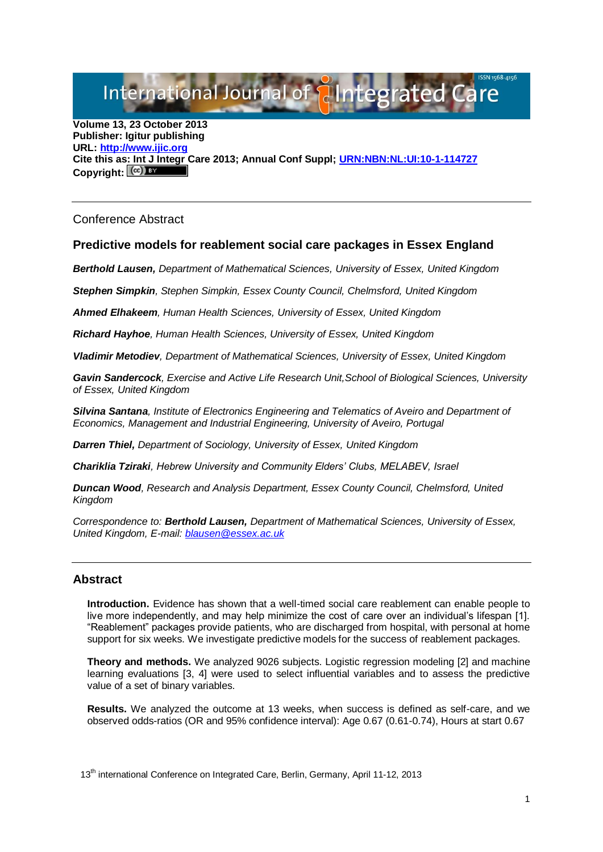International Journal of **Plantegrated** C

**Volume 13, 23 October 2013 Publisher: Igitur publishing URL[: http://www.ijic.org](http://www.ijic.org/) Cite this as: Int J Integr Care 2013; Annual Conf Suppl; [URN:NBN:NL:UI:10-1-114727](http://persistent-identifier.nl/?identifier=URN:NBN:NL:UI:10-1-114727)**  Copyright:  $(cc)$  BY

Conference Abstract

## **Predictive models for reablement social care packages in Essex England**

*Berthold Lausen, Department of Mathematical Sciences, University of Essex, United Kingdom*

*Stephen Simpkin, Stephen Simpkin, Essex County Council, Chelmsford, United Kingdom*

*Ahmed Elhakeem, Human Health Sciences, University of Essex, United Kingdom*

*Richard Hayhoe, Human Health Sciences, University of Essex, United Kingdom*

*Vladimir Metodiev, Department of Mathematical Sciences, University of Essex, United Kingdom*

*Gavin Sandercock, Exercise and Active Life Research Unit,School of Biological Sciences, University of Essex, United Kingdom*

*Silvina Santana, Institute of Electronics Engineering and Telematics of Aveiro and Department of Economics, Management and Industrial Engineering, University of Aveiro, Portugal*

*Darren Thiel, Department of Sociology, University of Essex, United Kingdom*

*Chariklia Tziraki, Hebrew University and Community Elders' Clubs, MELABEV, Israel*

*Duncan Wood, Research and Analysis Department, Essex County Council, Chelmsford, United Kingdom*

*Correspondence to: Berthold Lausen, Department of Mathematical Sciences, University of Essex, United Kingdom, E-mail: [blausen@essex.ac.uk](mailto:blausen@essex.ac.uk)*

## **Abstract**

**Introduction.** Evidence has shown that a well-timed social care reablement can enable people to live more independently, and may help minimize the cost of care over an individual's lifespan [1]. "Reablement" packages provide patients, who are discharged from hospital, with personal at home support for six weeks. We investigate predictive models for the success of reablement packages.

**Theory and methods.** We analyzed 9026 subjects. Logistic regression modeling [2] and machine learning evaluations [3, 4] were used to select influential variables and to assess the predictive value of a set of binary variables.

**Results.** We analyzed the outcome at 13 weeks, when success is defined as self-care, and we observed odds-ratios (OR and 95% confidence interval): Age 0.67 (0.61-0.74), Hours at start 0.67

13<sup>th</sup> international Conference on Integrated Care, Berlin, Germany, April 11-12, 2013